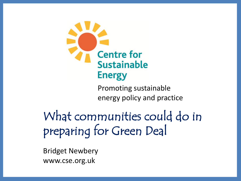

Promoting sustainable energy policy and practice

What communities could do in preparing for Green Deal

Bridget Newbery www.cse.org.uk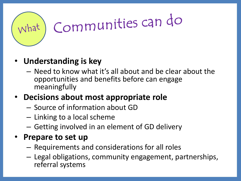

## Communities can do

## • **Understanding is key**

– Need to know what it's all about and be clear about the opportunities and benefits before can engage meaningfully

## • **Decisions about most appropriate role**

- Source of information about GD
- Linking to a local scheme
- Getting involved in an element of GD delivery

### • **Prepare to set up**

- Requirements and considerations for all roles
- Legal obligations, community engagement, partnerships, referral systems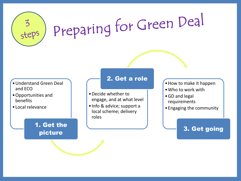

- •Understand Green Deal and ECO
- •Opportunities and benefits
- •Local relevance

#### 1. Get the picture

#### 2. Get a role

- •Decide whether to engage, and at what level
- •Info & advice; support a local scheme; delivery roles
- •How to make it happen
- •Who to work with
- •GD and legal requirements
- •Engaging the community

#### 3. Get going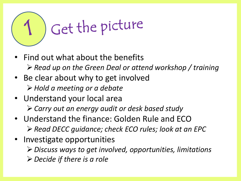

- Find out what about the benefits *Read up on the Green Deal or attend workshop / training*
- Be clear about why to get involved *Hold a meeting or a debate*
- Understand your local area *Carry out an energy audit or desk based study*
- Understand the finance: Golden Rule and ECO *Read DECC guidance; check ECO rules; look at an EPC*
- Investigate opportunities
	- *Discuss ways to get involved, opportunities, limitations*
	- *Decide if there is a role*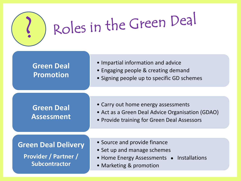

## Roles in the Green Deal

#### • Impartial information and advice • Engaging people & creating demand • Signing people up to specific GD schemes **Green Deal Promotion** • Carry out home energy assessments • Act as a Green Deal Advice Organisation (GDAO) • Provide training for Green Deal Assessors **Green Deal Assessment**

#### **Green Deal Delivery**

**Provider / Partner / Subcontractor**

- Source and provide finance
- Set up and manage schemes
- $\bullet$  Home Energy Assessments  $\bullet$  Installations
- Marketing & promotion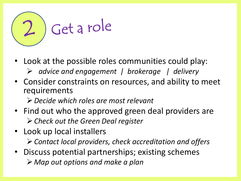

- Look at the possible roles communities could play:
	- *advice and engagement | brokerage | delivery*
- Consider constraints on resources, and ability to meet requirements

*Decide which roles are most relevant*

- Find out who the approved green deal providers are *Check out the Green Deal register*
- Look up local installers *Contact local providers, check accreditation and offers*
- Discuss potential partnerships; existing schemes *Map out options and make a plan*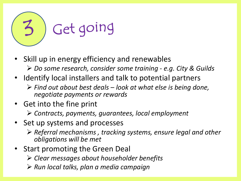

- Skill up in energy efficiency and renewables *Do some research, consider some training - e.g. City & Guilds*
- Identify local installers and talk to potential partners
	- *Find out about best deals – look at what else is being done, negotiate payments or rewards*
- Get into the fine print

*Contracts, payments, guarantees, local employment* 

- Set up systems and processes
	- *Referral mechanisms , tracking systems, ensure legal and other obligations will be met*
- Start promoting the Green Deal
	- *Clear messages about householder benefits*
	- *Run local talks, plan a media campaign*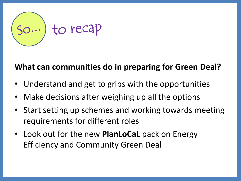

### **What can communities do in preparing for Green Deal?**

- Understand and get to grips with the opportunities
- Make decisions after weighing up all the options
- Start setting up schemes and working towards meeting requirements for different roles
- Look out for the new **PlanLoCaL** pack on Energy Efficiency and Community Green Deal